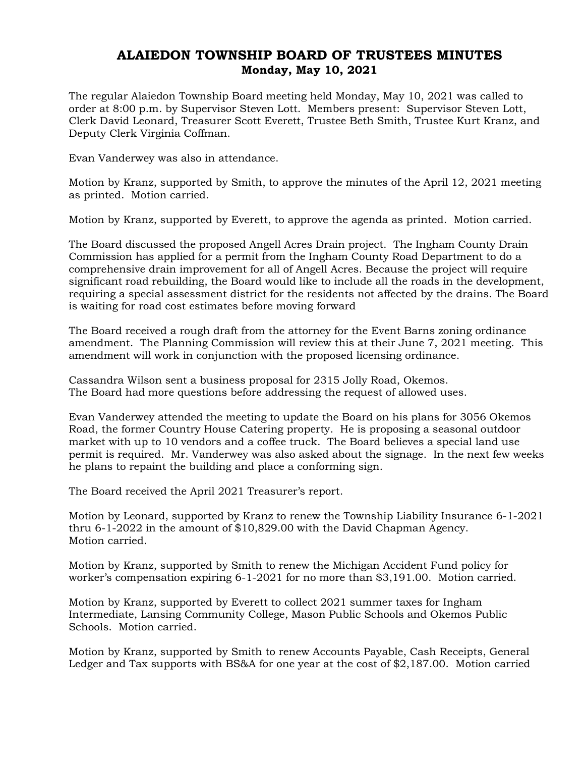## ALAIEDON TOWNSHIP BOARD OF TRUSTEES MINUTES Monday, May 10, 2021

The regular Alaiedon Township Board meeting held Monday, May 10, 2021 was called to order at 8:00 p.m. by Supervisor Steven Lott. Members present: Supervisor Steven Lott, Clerk David Leonard, Treasurer Scott Everett, Trustee Beth Smith, Trustee Kurt Kranz, and Deputy Clerk Virginia Coffman.

Evan Vanderwey was also in attendance.

Motion by Kranz, supported by Smith, to approve the minutes of the April 12, 2021 meeting as printed. Motion carried.

Motion by Kranz, supported by Everett, to approve the agenda as printed. Motion carried.

The Board discussed the proposed Angell Acres Drain project. The Ingham County Drain Commission has applied for a permit from the Ingham County Road Department to do a comprehensive drain improvement for all of Angell Acres. Because the project will require significant road rebuilding, the Board would like to include all the roads in the development, requiring a special assessment district for the residents not affected by the drains. The Board is waiting for road cost estimates before moving forward

The Board received a rough draft from the attorney for the Event Barns zoning ordinance amendment. The Planning Commission will review this at their June 7, 2021 meeting. This amendment will work in conjunction with the proposed licensing ordinance.

Cassandra Wilson sent a business proposal for 2315 Jolly Road, Okemos. The Board had more questions before addressing the request of allowed uses.

Evan Vanderwey attended the meeting to update the Board on his plans for 3056 Okemos Road, the former Country House Catering property. He is proposing a seasonal outdoor market with up to 10 vendors and a coffee truck. The Board believes a special land use permit is required. Mr. Vanderwey was also asked about the signage. In the next few weeks he plans to repaint the building and place a conforming sign.

The Board received the April 2021 Treasurer's report.

Motion by Leonard, supported by Kranz to renew the Township Liability Insurance 6-1-2021 thru 6-1-2022 in the amount of \$10,829.00 with the David Chapman Agency. Motion carried.

Motion by Kranz, supported by Smith to renew the Michigan Accident Fund policy for worker's compensation expiring 6-1-2021 for no more than \$3,191.00. Motion carried.

Motion by Kranz, supported by Everett to collect 2021 summer taxes for Ingham Intermediate, Lansing Community College, Mason Public Schools and Okemos Public Schools. Motion carried.

Motion by Kranz, supported by Smith to renew Accounts Payable, Cash Receipts, General Ledger and Tax supports with BS&A for one year at the cost of \$2,187.00. Motion carried